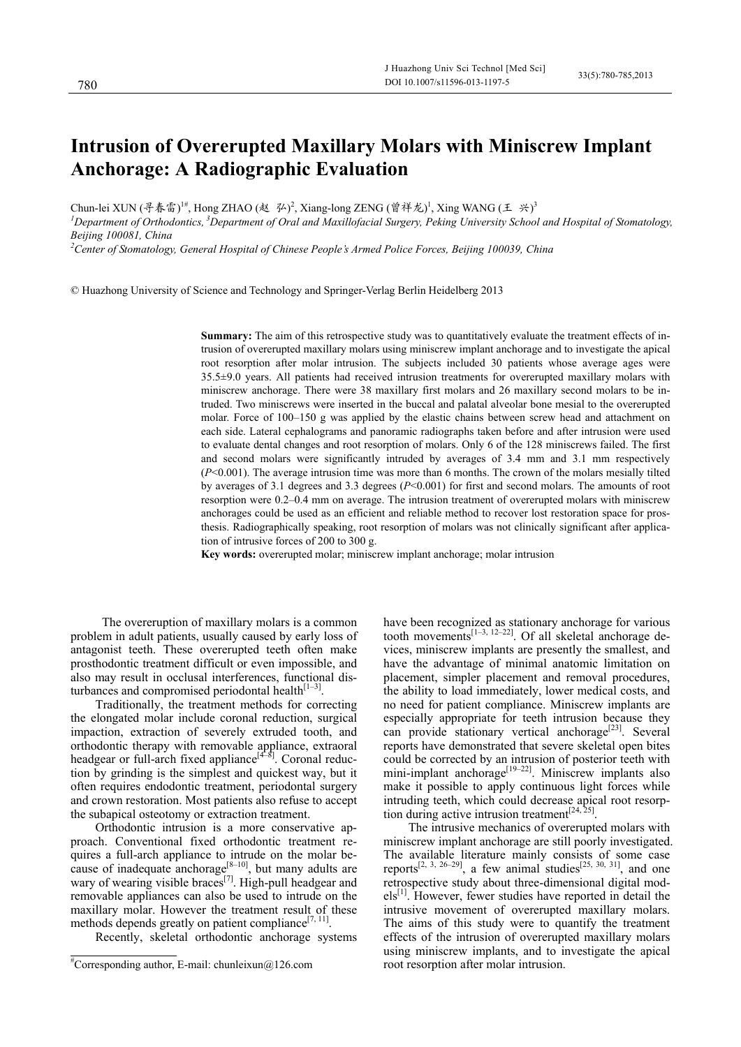# **Intrusion of Overerupted Maxillary Molars with Miniscrew Implant Anchorage: A Radiographic Evaluation**

Chun-lei XUN (寻春雷)<sup>!#</sup>, Hong ZHAO (赵 弘)<sup>2</sup>, Xiang-long ZENG (曾祥龙)<sup>1</sup>, Xing WANG (王 兴)<sup>3</sup>

*1 Department of Orthodontics, 3Department of Oral and Maxillofacial Surgery, Peking University School and Hospital of Stomatology, Beijing 100081, China* 

*2 Center of Stomatology, General Hospital of Chinese People's Armed Police Forces, Beijing 100039, China* 

© Huazhong University of Science and Technology and Springer-Verlag Berlin Heidelberg 2013

**Summary:** The aim of this retrospective study was to quantitatively evaluate the treatment effects of intrusion of overerupted maxillary molars using miniscrew implant anchorage and to investigate the apical root resorption after molar intrusion. The subjects included 30 patients whose average ages were 35.5±9.0 years. All patients had received intrusion treatments for overerupted maxillary molars with miniscrew anchorage. There were 38 maxillary first molars and 26 maxillary second molars to be intruded. Two miniscrews were inserted in the buccal and palatal alveolar bone mesial to the overerupted molar. Force of 100–150 g was applied by the elastic chains between screw head and attachment on each side. Lateral cephalograms and panoramic radiographs taken before and after intrusion were used to evaluate dental changes and root resorption of molars. Only 6 of the 128 miniscrews failed. The first and second molars were significantly intruded by averages of 3.4 mm and 3.1 mm respectively (*P*<0.001). The average intrusion time was more than 6 months. The crown of the molars mesially tilted by averages of 3.1 degrees and 3.3 degrees (*P*<0.001) for first and second molars. The amounts of root resorption were 0.2–0.4 mm on average. The intrusion treatment of overerupted molars with miniscrew anchorages could be used as an efficient and reliable method to recover lost restoration space for prosthesis. Radiographically speaking, root resorption of molars was not clinically significant after application of intrusive forces of 200 to 300 g.

**Key words:** overerupted molar; miniscrew implant anchorage; molar intrusion

The overeruption of maxillary molars is a common problem in adult patients, usually caused by early loss of antagonist teeth. These overerupted teeth often make prosthodontic treatment difficult or even impossible, and also may result in occlusal interferences, functional disturbances and compromised periodontal health $[1-3]$ .

Traditionally, the treatment methods for correcting the elongated molar include coronal reduction, surgical impaction, extraction of severely extruded tooth, and orthodontic therapy with removable appliance, extraoral headgear or full-arch fixed appliance $[4-8]$ . Coronal reduction by grinding is the simplest and quickest way, but it often requires endodontic treatment, periodontal surgery and crown restoration. Most patients also refuse to accept the subapical osteotomy or extraction treatment.

Orthodontic intrusion is a more conservative approach. Conventional fixed orthodontic treatment requires a full-arch appliance to intrude on the molar because of inadequate anchorage[ $8-10$ ], but many adults are wary of wearing visible braces<sup>[7]</sup>. High-pull headgear and removable appliances can also be used to intrude on the maxillary molar. However the treatment result of these methods depends greatly on patient compliance $[7, 11]$ .

Recently, skeletal orthodontic anchorage systems

 $\overline{a}$ 

have been recognized as stationary anchorage for various tooth movements<sup>[1-3, 12-22]</sup>. Of all skeletal anchorage devices, miniscrew implants are presently the smallest, and have the advantage of minimal anatomic limitation on placement, simpler placement and removal procedures, the ability to load immediately, lower medical costs, and no need for patient compliance. Miniscrew implants are especially appropriate for teeth intrusion because they can provide stationary vertical anchorage<sup>[23]</sup>. Several reports have demonstrated that severe skeletal open bites could be corrected by an intrusion of posterior teeth with mini-implant anchorage<sup>[19–22]</sup>. Miniscrew implants also make it possible to apply continuous light forces while intruding teeth, which could decrease apical root resorption during active intrusion treatment<sup>[24, 25]</sup>.

The intrusive mechanics of overerupted molars with miniscrew implant anchorage are still poorly investigated. The available literature mainly consists of some case reports<sup>[2, 3, 26–29]</sup>, a few animal studies<sup>[25, 30, 31]</sup>, and one retrospective study about three-dimensional digital mod $els<sup>[1]</sup>$ . However, fewer studies have reported in detail the intrusive movement of overerupted maxillary molars. The aims of this study were to quantify the treatment effects of the intrusion of overerupted maxillary molars using miniscrew implants, and to investigate the apical root resorption after molar intrusion.

<sup>#</sup> Corresponding author, E-mail: chunleixun@126.com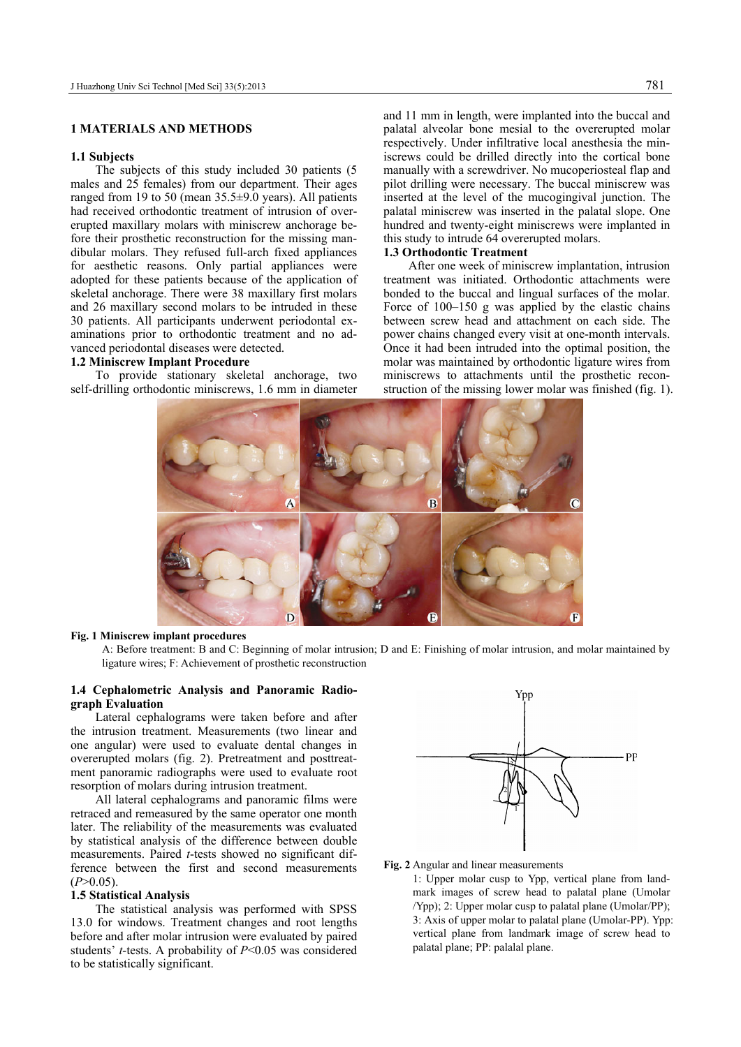# **1 MATERIALS AND METHODS**

## **1.1 Subjects**

The subjects of this study included 30 patients (5 males and 25 females) from our department. Their ages ranged from 19 to 50 (mean 35.5±9.0 years). All patients had received orthodontic treatment of intrusion of overerupted maxillary molars with miniscrew anchorage before their prosthetic reconstruction for the missing mandibular molars. They refused full-arch fixed appliances for aesthetic reasons. Only partial appliances were adopted for these patients because of the application of skeletal anchorage. There were 38 maxillary first molars and 26 maxillary second molars to be intruded in these 30 patients. All participants underwent periodontal examinations prior to orthodontic treatment and no advanced periodontal diseases were detected.

### **1.2 Miniscrew Implant Procedure**

To provide stationary skeletal anchorage, two self-drilling orthodontic miniscrews, 1.6 mm in diameter and 11 mm in length, were implanted into the buccal and palatal alveolar bone mesial to the overerupted molar respectively. Under infiltrative local anesthesia the miniscrews could be drilled directly into the cortical bone manually with a screwdriver. No mucoperiosteal flap and pilot drilling were necessary. The buccal miniscrew was inserted at the level of the mucogingival junction. The palatal miniscrew was inserted in the palatal slope. One hundred and twenty-eight miniscrews were implanted in this study to intrude 64 overerupted molars.

## **1.3 Orthodontic Treatment**

After one week of miniscrew implantation, intrusion treatment was initiated. Orthodontic attachments were bonded to the buccal and lingual surfaces of the molar. Force of 100–150 g was applied by the elastic chains between screw head and attachment on each side. The power chains changed every visit at one-month intervals. Once it had been intruded into the optimal position, the molar was maintained by orthodontic ligature wires from miniscrews to attachments until the prosthetic reconstruction of the missing lower molar was finished (fig. 1).



## **Fig. 1 Miniscrew implant procedures**

A: Before treatment: B and C: Beginning of molar intrusion; D and E: Finishing of molar intrusion, and molar maintained by ligature wires; F: Achievement of prosthetic reconstruction

## **1.4 Cephalometric Analysis and Panoramic Radiograph Evaluation**

Lateral cephalograms were taken before and after the intrusion treatment. Measurements (two linear and one angular) were used to evaluate dental changes in overerupted molars (fig. 2). Pretreatment and posttreatment panoramic radiographs were used to evaluate root resorption of molars during intrusion treatment.

All lateral cephalograms and panoramic films were retraced and remeasured by the same operator one month later. The reliability of the measurements was evaluated by statistical analysis of the difference between double measurements. Paired *t*-tests showed no significant difference between the first and second measurements  $(P>0.05)$ .

#### **1.5 Statistical Analysis**

The statistical analysis was performed with SPSS 13.0 for windows. Treatment changes and root lengths before and after molar intrusion were evaluated by paired students' *t-*tests. A probability of *P*<0.05 was considered to be statistically significant.



#### **Fig. 2** Angular and linear measurements

1: Upper molar cusp to Ypp, vertical plane from landmark images of screw head to palatal plane (Umolar /Ypp); 2: Upper molar cusp to palatal plane (Umolar/PP); 3: Axis of upper molar to palatal plane (Umolar-PP). Ypp: vertical plane from landmark image of screw head to palatal plane; PP: palalal plane.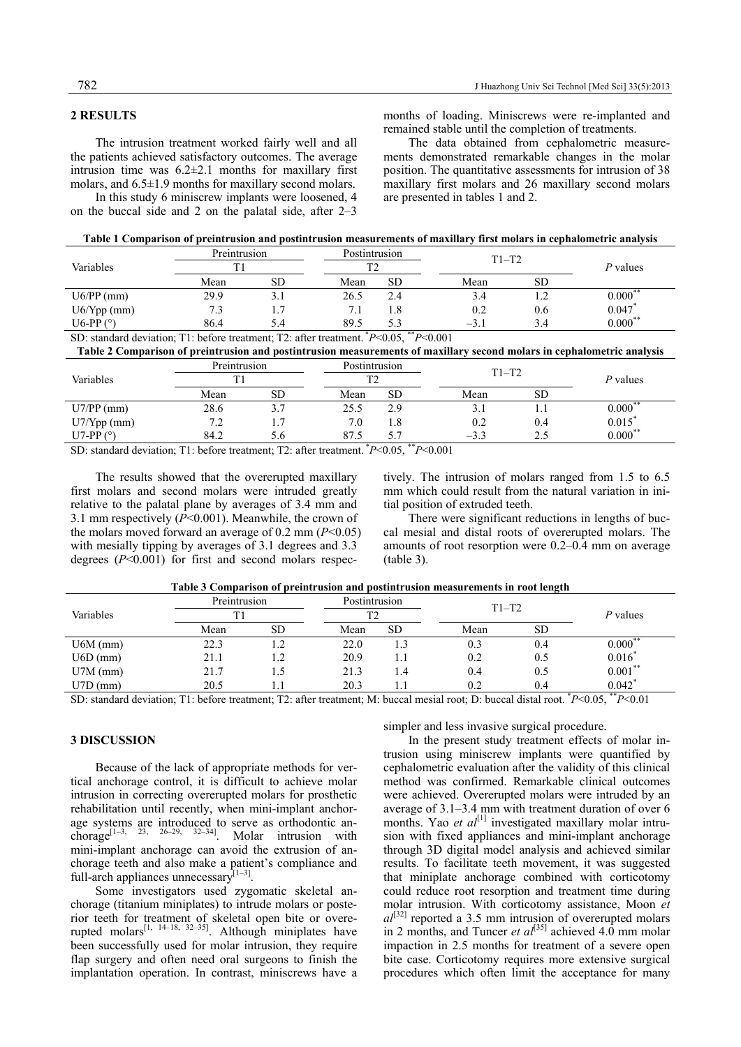# **2 RESULTS**

In this study 6 miniscrew implants were loosened, 4 on the buccal side and 2 on the palatal side, after 2–3 months of loading. Miniscrews were re-implanted and remained stable until the completion of treatments.

The data obtained from cephalometric measurements demonstrated remarkable changes in the molar position. The quantitative assessments for intrusion of 38 maxillary first molars and 26 maxillary second molars are presented in tables 1 and 2.

|  |  |  | Table 1 Comparison of preintrusion and postintrusion measurements of maxillary first molars in cephalometric analysis |  |
|--|--|--|-----------------------------------------------------------------------------------------------------------------------|--|
|  |  |  |                                                                                                                       |  |

|               | Preintrusion<br>TT1 |     | Postintrusion<br>$T^{\prime}$ |           | $T1-T2$ |           | P values     |
|---------------|---------------------|-----|-------------------------------|-----------|---------|-----------|--------------|
| Variables     |                     |     |                               |           |         |           |              |
|               | Mean                | SD  | Mean                          | <b>SD</b> | Mean    | <b>SD</b> |              |
| $U6/PP$ (mm)  | 29.9                | .   | 26.5                          | 2.4       | 3.4     |           | $0.000^{**}$ |
| $U6/Ypp$ (mm) | 7.3                 | 1.7 |                               | 1.8       | 0.2     | 0.6       | 0.047        |
| U6-PP $(°)$   | 86.4                | 5.4 | 89.5                          | 5.3       | $-3$ .  | 3.4       | $0.000^{**}$ |

SD: standard deviation; T1: before treatment; T2: after treatment. \**P*<0.05, \*\**P*<0.001

**Table 2 Comparison of preintrusion and postintrusion measurements of maxillary second molars in cephalometric analysis** 

|               | Preintrusion |                | Postintrusion |                     | $T1-T2$ |           |                      |
|---------------|--------------|----------------|---------------|---------------------|---------|-----------|----------------------|
| Variables     |              |                |               | <b>TO</b>           |         |           |                      |
|               | Mean         | SD             | Mean          | <b>SD</b>           | Mean    | <b>SD</b> |                      |
| $U7/PP$ (mm)  | 28.6         |                | 25.5          | 2.9                 | 3.1     | 1.1       | $0.000^{**}$         |
| $U7/Ypp$ (mm) | 7.2          | $\overline{ }$ | 7.0           | 1.8                 | 0.2     | 0.4       | $0.015$ <sup>*</sup> |
| U7-PP $(°)$   | 84.2         | $5.6^{\circ}$  | 87            | 5.7<br><b>State</b> | $-3.3$  | 2.5       | $0.000***$           |

SD: standard deviation; T1: before treatment; T2: after treatment. \**P*<0.05, \*\**P*<0.001

The results showed that the overerupted maxillary first molars and second molars were intruded greatly relative to the palatal plane by averages of 3.4 mm and 3.1 mm respectively (*P*<0.001). Meanwhile, the crown of the molars moved forward an average of  $0.2$  mm ( $P < 0.05$ ) with mesially tipping by averages of 3.1 degrees and 3.3 degrees (*P*<0.001) for first and second molars respectively. The intrusion of molars ranged from 1.5 to 6.5 mm which could result from the natural variation in initial position of extruded teeth.

There were significant reductions in lengths of buccal mesial and distal roots of overerupted molars. The amounts of root resorption were 0.2–0.4 mm on average (table 3).

|  | Table 3 Comparison of preintrusion and postintrusion measurements in root length |
|--|----------------------------------------------------------------------------------|
|--|----------------------------------------------------------------------------------|

|            | Preintrusion |           | Postintrusion |           | $T1-T2$ |           |                            |  |
|------------|--------------|-----------|---------------|-----------|---------|-----------|----------------------------|--|
| Variables  |              |           |               |           |         |           | $P$ values                 |  |
|            | Mean         | <b>SD</b> | Mean          | <b>SD</b> | Mean    | <b>SD</b> |                            |  |
| $U6M$ (mm) | 22.3         |           | 22.0          |           | 0.3     | 0.4       | $0.000^*$                  |  |
| $U6D$ (mm) | 21.1         |           | 20.9          |           | 0.2     | 0.5       | $0.016*$                   |  |
| $U7M$ (mm) | 21.7         |           | 21.3          | 4.4       | 0.4     | 0.5       | $0.001***$                 |  |
| $U7D$ (mm) | 20.5         |           | 20.3          |           | 0.2     | 0.4       | $0.042$ *<br>$\sim$ $\sim$ |  |

SD: standard deviation; T1: before treatment; T2: after treatment; M: buccal mesial root; D: buccal distal root. \* *P*<0.05, \*\**P*<0.01

# **3 DISCUSSION**

Because of the lack of appropriate methods for vertical anchorage control, it is difficult to achieve molar intrusion in correcting overerupted molars for prosthetic rehabilitation until recently, when mini-implant anchorage systems are introduced to serve as orthodontic anchorage<sup>[1–3, 23, 26–29, 32–34]</sup>. Molar intrusion with mini-implant anchorage can avoid the extrusion of anchorage teeth and also make a patient's compliance and full-arch appliances unnecessary $I^{[1-3]}$ .

Some investigators used zygomatic skeletal anchorage (titanium miniplates) to intrude molars or posterior teeth for treatment of skeletal open bite or overerupted molars<sup>[1, 14–18, 32–35]</sup>. Although miniplates have been successfully used for molar intrusion, they require flap surgery and often need oral surgeons to finish the implantation operation. In contrast, miniscrews have a

simpler and less invasive surgical procedure.

In the present study treatment effects of molar intrusion using miniscrew implants were quantified by cephalometric evaluation after the validity of this clinical method was confirmed. Remarkable clinical outcomes were achieved. Overerupted molars were intruded by an average of 3.1–3.4 mm with treatment duration of over 6 months. Yao *et al*<sup>[1]</sup> investigated maxillary molar intrusion with fixed appliances and mini-implant anchorage through 3D digital model analysis and achieved similar results. To facilitate teeth movement, it was suggested that miniplate anchorage combined with corticotomy could reduce root resorption and treatment time during molar intrusion. With corticotomy assistance, Moon *et*   $a^{[32]}$  reported a 3.5 mm intrusion of overerupted molars in 2 months, and Tuncer *et al*<sup>[35]</sup> achieved 4.0 mm molar impaction in 2.5 months for treatment of a severe open bite case. Corticotomy requires more extensive surgical procedures which often limit the acceptance for many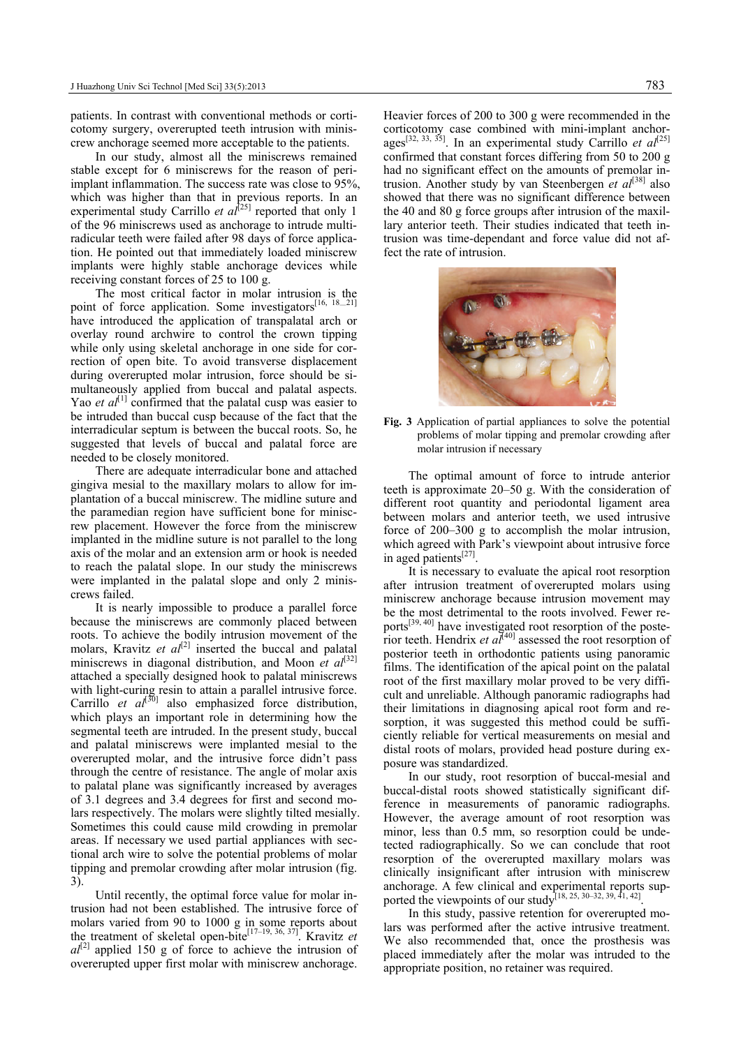patients. In contrast with conventional methods or corticotomy surgery, overerupted teeth intrusion with miniscrew anchorage seemed more acceptable to the patients.

In our study, almost all the miniscrews remained stable except for 6 miniscrews for the reason of periimplant inflammation. The success rate was close to 95%, which was higher than that in previous reports. In an experimental study Carrillo *et al*<sup>[25]</sup> reported that only 1 of the 96 miniscrews used as anchorage to intrude multiradicular teeth were failed after 98 days of force application. He pointed out that immediately loaded miniscrew implants were highly stable anchorage devices while receiving constant forces of 25 to 100 g.

The most critical factor in molar intrusion is the point of force application. Some investigators<sup>[16, 18\_21]</sup> have introduced the application of transpalatal arch or overlay round archwire to control the crown tipping while only using skeletal anchorage in one side for correction of open bite. To avoid transverse displacement during overerupted molar intrusion, force should be simultaneously applied from buccal and palatal aspects. Yao *et al*<sup>[1]</sup> confirmed that the palatal cusp was easier to be intruded than buccal cusp because of the fact that the interradicular septum is between the buccal roots. So, he suggested that levels of buccal and palatal force are needed to be closely monitored.

There are adequate interradicular bone and attached gingiva mesial to the maxillary molars to allow for implantation of a buccal miniscrew. The midline suture and the paramedian region have sufficient bone for miniscrew placement. However the force from the miniscrew implanted in the midline suture is not parallel to the long axis of the molar and an extension arm or hook is needed to reach the palatal slope. In our study the miniscrews were implanted in the palatal slope and only 2 miniscrews failed.

It is nearly impossible to produce a parallel force because the miniscrews are commonly placed between roots. To achieve the bodily intrusion movement of the molars, Kravitz *et al*<sup>[2]</sup> inserted the buccal and palatal miniscrews in diagonal distribution, and Moon *et al*<sup>[32]</sup> attached a specially designed hook to palatal miniscrews with light-curing resin to attain a parallel intrusive force. Carrillo *et al*<sup>[30]</sup> also emphasized force distribution, which plays an important role in determining how the segmental teeth are intruded. In the present study, buccal and palatal miniscrews were implanted mesial to the overerupted molar, and the intrusive force didn't pass through the centre of resistance. The angle of molar axis to palatal plane was significantly increased by averages of 3.1 degrees and 3.4 degrees for first and second molars respectively. The molars were slightly tilted mesially. Sometimes this could cause mild crowding in premolar areas. If necessary we used partial appliances with sectional arch wire to solve the potential problems of molar tipping and premolar crowding after molar intrusion (fig. 3).

Until recently, the optimal force value for molar intrusion had not been established. The intrusive force of molars varied from 90 to 1000 g in some reports about the treatment of skeletal open-bite<sup>[17–19, 36, 37].</sup> Kravitz *et*  $a<sup>[2]</sup>$  applied 150 g of force to achieve the intrusion of overerupted upper first molar with miniscrew anchorage.

Heavier forces of 200 to 300 g were recommended in the corticotomy case combined with mini-implant anchorages<sup>[32, 33, 35]</sup>. In an experimental study Carrillo *et al*<sup>[25]</sup> confirmed that constant forces differing from 50 to 200 g had no significant effect on the amounts of premolar intrusion. Another study by van Steenbergen *et al*<sup>[38]</sup> also showed that there was no significant difference between the 40 and 80 g force groups after intrusion of the maxillary anterior teeth. Their studies indicated that teeth intrusion was time-dependant and force value did not affect the rate of intrusion.



**Fig. 3** Application of partial appliances to solve the potential problems of molar tipping and premolar crowding after molar intrusion if necessary

The optimal amount of force to intrude anterior teeth is approximate 20–50 g. With the consideration of different root quantity and periodontal ligament area between molars and anterior teeth, we used intrusive force of 200–300 g to accomplish the molar intrusion, which agreed with Park's viewpoint about intrusive force in aged patients<sup>[27]</sup>.

It is necessary to evaluate the apical root resorption after intrusion treatment of overerupted molars using miniscrew anchorage because intrusion movement may be the most detrimental to the roots involved. Fewer reports[39, 40] have investigated root resorption of the posterior teeth. Hendrix *et al*<sup>[40]</sup> assessed the root resorption of posterior teeth in orthodontic patients using panoramic films. The identification of the apical point on the palatal root of the first maxillary molar proved to be very difficult and unreliable. Although panoramic radiographs had their limitations in diagnosing apical root form and resorption, it was suggested this method could be sufficiently reliable for vertical measurements on mesial and distal roots of molars, provided head posture during exposure was standardized.

In our study, root resorption of buccal-mesial and buccal-distal roots showed statistically significant difference in measurements of panoramic radiographs. However, the average amount of root resorption was minor, less than 0.5 mm, so resorption could be undetected radiographically. So we can conclude that root resorption of the overerupted maxillary molars was clinically insignificant after intrusion with miniscrew anchorage. A few clinical and experimental reports supported the viewpoints of our study<sup>[18, 25, 30–32, 39, 41, 42]</sup>.

In this study, passive retention for overerupted molars was performed after the active intrusive treatment. We also recommended that, once the prosthesis was placed immediately after the molar was intruded to the appropriate position, no retainer was required.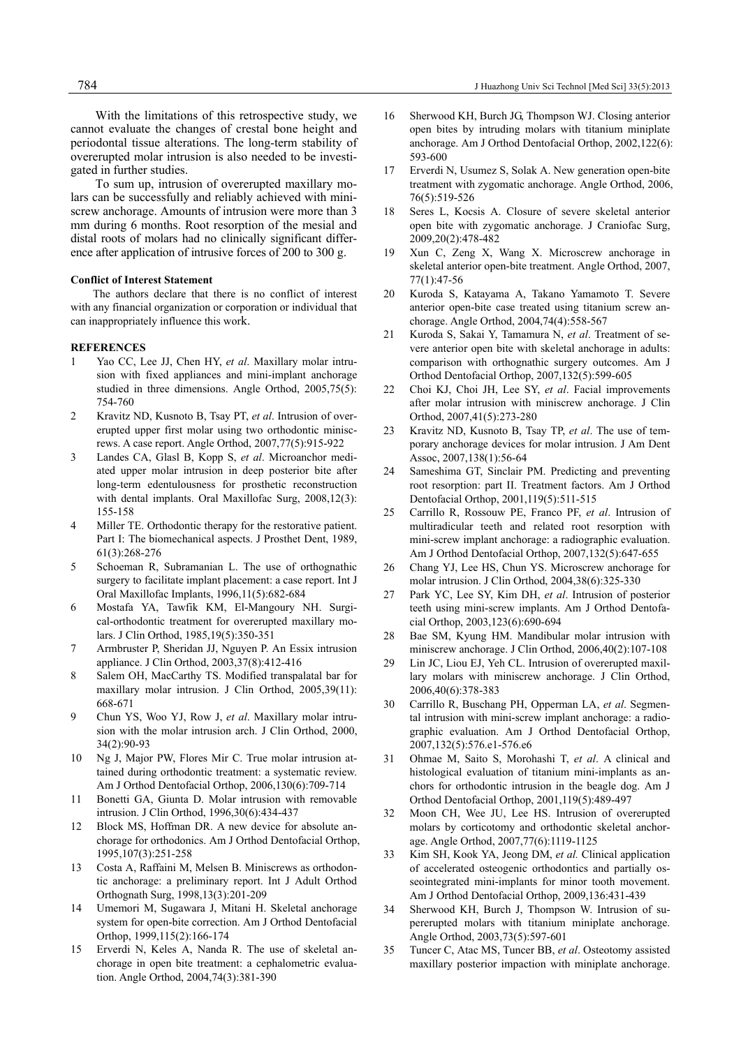With the limitations of this retrospective study, we cannot evaluate the changes of crestal bone height and periodontal tissue alterations. The long-term stability of overerupted molar intrusion is also needed to be investigated in further studies.

To sum up, intrusion of overerupted maxillary molars can be successfully and reliably achieved with miniscrew anchorage. Amounts of intrusion were more than 3 mm during 6 months. Root resorption of the mesial and distal roots of molars had no clinically significant difference after application of intrusive forces of 200 to 300 g.

## **Conflict of Interest Statement**

The authors declare that there is no conflict of interest with any financial organization or corporation or individual that can inappropriately influence this work.

## **REFERENCES**

- 1 Yao CC, Lee JJ, Chen HY, *et al*. Maxillary molar intrusion with fixed appliances and mini-implant anchorage studied in three dimensions. Angle Orthod, 2005,75(5): 754-760
- 2 Kravitz ND, Kusnoto B, Tsay PT, *et al*. Intrusion of overerupted upper first molar using two orthodontic miniscrews. A case report. Angle Orthod, 2007,77(5):915-922
- 3 Landes CA, Glasl B, Kopp S, *et al*. Microanchor mediated upper molar intrusion in deep posterior bite after long-term edentulousness for prosthetic reconstruction with dental implants. Oral Maxillofac Surg, 2008,12(3): 155-158
- 4 Miller TE. Orthodontic therapy for the restorative patient. Part I: The biomechanical aspects. J Prosthet Dent, 1989, 61(3):268-276
- 5 Schoeman R, Subramanian L. The use of orthognathic surgery to facilitate implant placement: a case report. Int J Oral Maxillofac Implants, 1996,11(5):682-684
- 6 Mostafa YA, Tawfik KM, El-Mangoury NH. Surgical-orthodontic treatment for overerupted maxillary molars. J Clin Orthod, 1985,19(5):350-351
- 7 Armbruster P, Sheridan JJ, Nguyen P. An Essix intrusion appliance. J Clin Orthod, 2003,37(8):412-416
- 8 Salem OH, MacCarthy TS. Modified transpalatal bar for maxillary molar intrusion. J Clin Orthod, 2005,39(11): 668-671
- 9 Chun YS, Woo YJ, Row J, *et al*. Maxillary molar intrusion with the molar intrusion arch. J Clin Orthod, 2000, 34(2):90-93
- 10 Ng J, Major PW, Flores Mir C. True molar intrusion attained during orthodontic treatment: a systematic review. Am J Orthod Dentofacial Orthop, 2006,130(6):709-714
- 11 Bonetti GA, Giunta D. Molar intrusion with removable intrusion. J Clin Orthod, 1996,30(6):434-437
- 12 Block MS, Hoffman DR. A new device for absolute anchorage for orthodonics. Am J Orthod Dentofacial Orthop, 1995,107(3):251-258
- 13 Costa A, Raffaini M, Melsen B. Miniscrews as orthodontic anchorage: a preliminary report. Int J Adult Orthod Orthognath Surg, 1998,13(3):201-209
- 14 Umemori M, Sugawara J, Mitani H. Skeletal anchorage system for open-bite correction. Am J Orthod Dentofacial Orthop, 1999,115(2):166-174
- 15 Erverdi N, Keles A, Nanda R. The use of skeletal anchorage in open bite treatment: a cephalometric evaluation. Angle Orthod, 2004,74(3):381-390
- 16 Sherwood KH, Burch JG, Thompson WJ. Closing anterior open bites by intruding molars with titanium miniplate anchorage. Am J Orthod Dentofacial Orthop, 2002,122(6): 593-600
- 17 Erverdi N, Usumez S, Solak A. New generation open-bite treatment with zygomatic anchorage. Angle Orthod, 2006, 76(5):519-526
- 18 Seres L, Kocsis A. Closure of severe skeletal anterior open bite with zygomatic anchorage. J Craniofac Surg, 2009,20(2):478-482
- 19 Xun C, Zeng X, Wang X. Microscrew anchorage in skeletal anterior open-bite treatment. Angle Orthod, 2007, 77(1):47-56
- 20 Kuroda S, Katayama A, Takano Yamamoto T. Severe anterior open-bite case treated using titanium screw anchorage. Angle Orthod, 2004,74(4):558-567
- 21 Kuroda S, Sakai Y, Tamamura N, *et al*. Treatment of severe anterior open bite with skeletal anchorage in adults: comparison with orthognathic surgery outcomes. Am J Orthod Dentofacial Orthop, 2007,132(5):599-605
- 22 Choi KJ, Choi JH, Lee SY, *et al*. Facial improvements after molar intrusion with miniscrew anchorage. J Clin Orthod, 2007,41(5):273-280
- 23 Kravitz ND, Kusnoto B, Tsay TP, *et al*. The use of temporary anchorage devices for molar intrusion. J Am Dent Assoc, 2007,138(1):56-64
- 24 Sameshima GT, Sinclair PM. Predicting and preventing root resorption: part II. Treatment factors. Am J Orthod Dentofacial Orthop, 2001,119(5):511-515
- 25 Carrillo R, Rossouw PE, Franco PF, *et al*. Intrusion of multiradicular teeth and related root resorption with mini-screw implant anchorage: a radiographic evaluation. Am J Orthod Dentofacial Orthop, 2007,132(5):647-655
- 26 Chang YJ, Lee HS, Chun YS. Microscrew anchorage for molar intrusion. J Clin Orthod, 2004,38(6):325-330
- 27 Park YC, Lee SY, Kim DH, *et al*. Intrusion of posterior teeth using mini-screw implants. Am J Orthod Dentofacial Orthop, 2003,123(6):690-694
- 28 Bae SM, Kyung HM. Mandibular molar intrusion with miniscrew anchorage. J Clin Orthod, 2006,40(2):107-108
- 29 Lin JC, Liou EJ, Yeh CL. Intrusion of overerupted maxillary molars with miniscrew anchorage. J Clin Orthod, 2006,40(6):378-383
- 30 Carrillo R, Buschang PH, Opperman LA, *et al*. Segmental intrusion with mini-screw implant anchorage: a radiographic evaluation. Am J Orthod Dentofacial Orthop, 2007,132(5):576.e1-576.e6
- 31 Ohmae M, Saito S, Morohashi T, *et al*. A clinical and histological evaluation of titanium mini-implants as anchors for orthodontic intrusion in the beagle dog. Am J Orthod Dentofacial Orthop, 2001,119(5):489-497
- 32 Moon CH, Wee JU, Lee HS. Intrusion of overerupted molars by corticotomy and orthodontic skeletal anchorage. Angle Orthod, 2007,77(6):1119-1125
- 33 Kim SH, Kook YA, Jeong DM, *et al.* Clinical application of accelerated osteogenic orthodontics and partially osseointegrated mini-implants for minor tooth movement. Am J Orthod Dentofacial Orthop, 2009,136:431-439
- 34 Sherwood KH, Burch J, Thompson W. Intrusion of supererupted molars with titanium miniplate anchorage. Angle Orthod, 2003,73(5):597-601
- 35 Tuncer C, Atac MS, Tuncer BB, *et al*. Osteotomy assisted maxillary posterior impaction with miniplate anchorage.